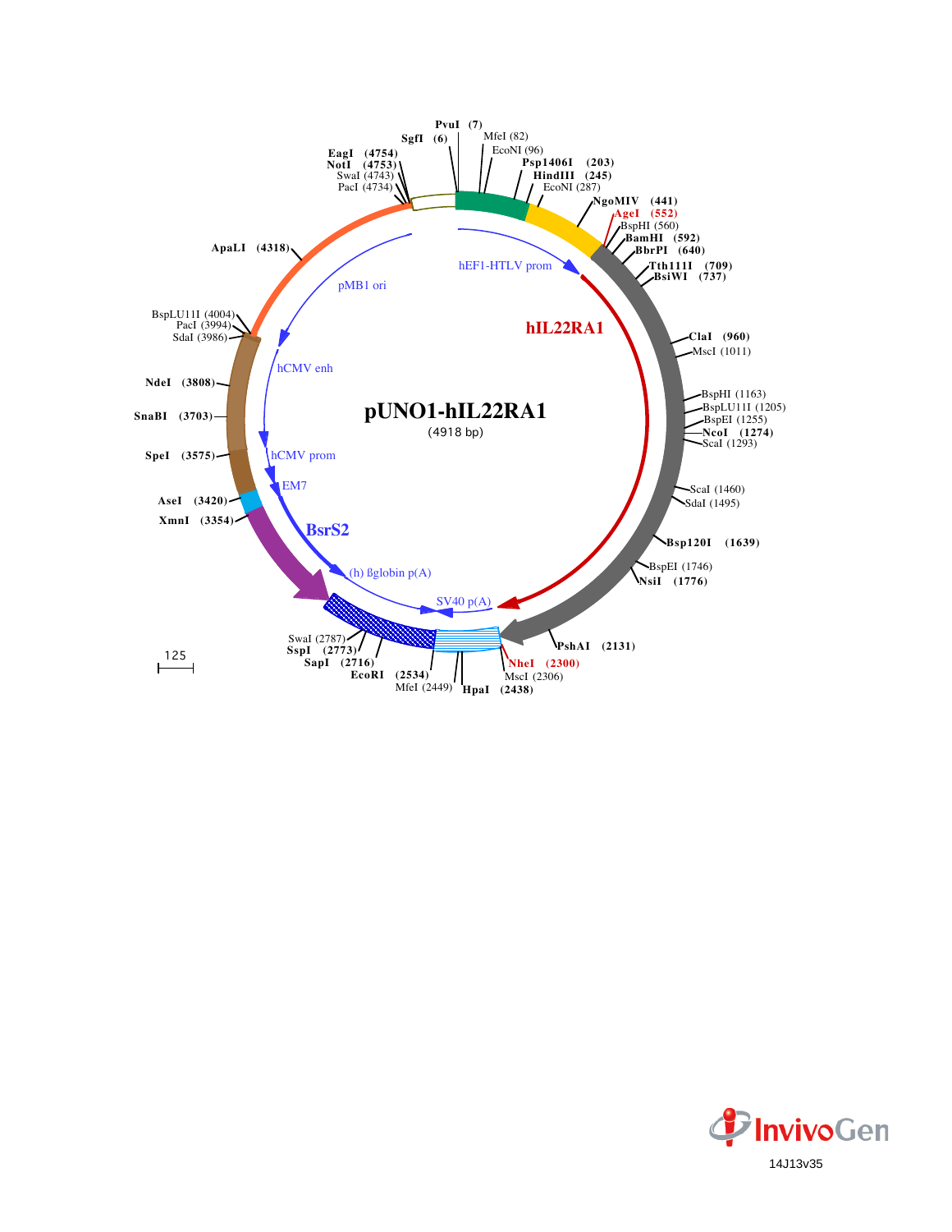

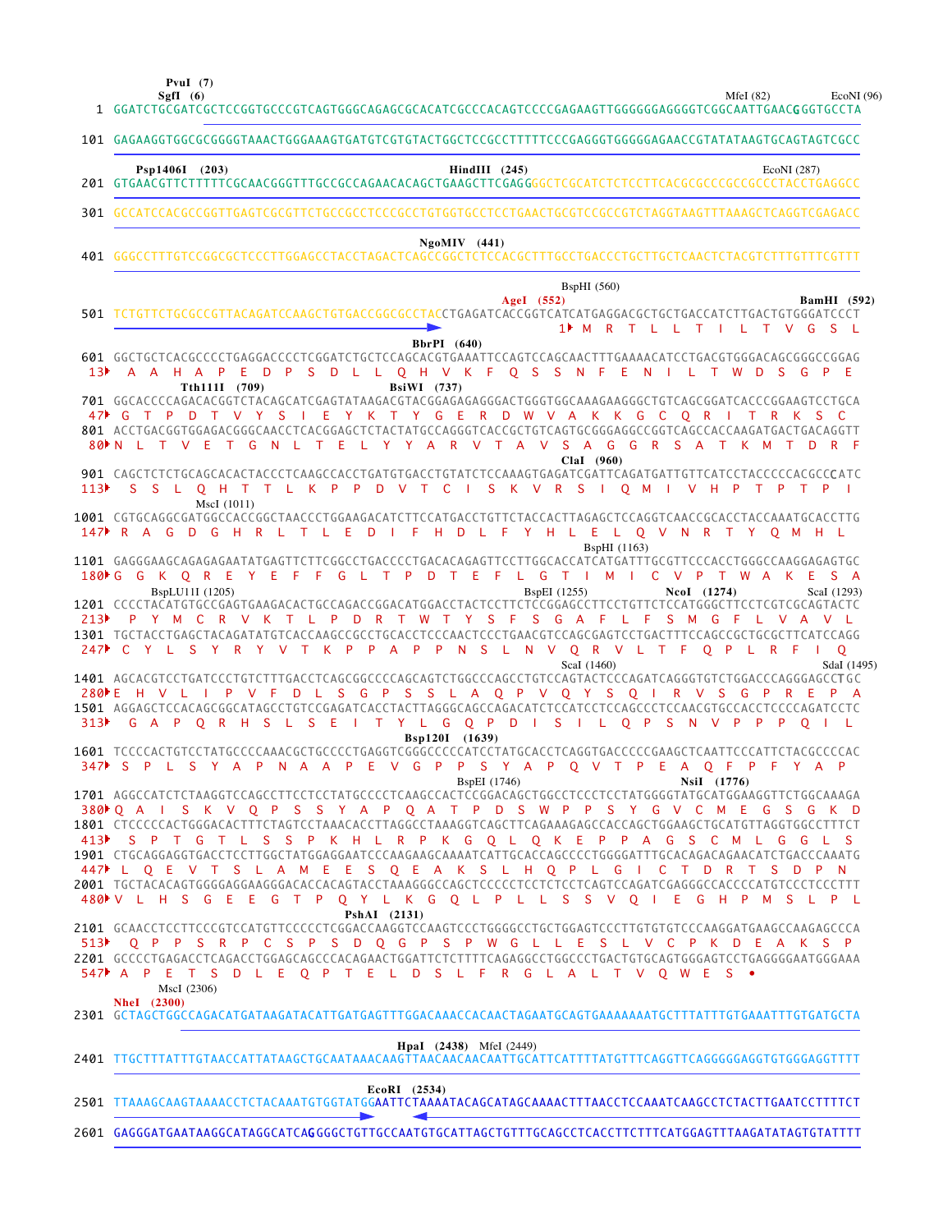**PvuI (7)**

 $\overline{\phantom{a}}$ 

MfeI (82) EcoNI (96)

|                  | SgfI $(6)$<br>MfeI $(82)$<br>EcoNI (96<br>1 GGATCTGCGATCGCTCCGGTGCCCGTCAGTGGGCAGAGCGCACATCGCCCACAGTCCCCGAGAAGTTGGGGGGAGGGGTCGGCAATTGAACGGGTGCCTA                                                                                                                                                                                                                                                                                                                                                                                                                                                                                                                                                                                                                                                                                                                                                                                                                                                                                                               |  |
|------------------|----------------------------------------------------------------------------------------------------------------------------------------------------------------------------------------------------------------------------------------------------------------------------------------------------------------------------------------------------------------------------------------------------------------------------------------------------------------------------------------------------------------------------------------------------------------------------------------------------------------------------------------------------------------------------------------------------------------------------------------------------------------------------------------------------------------------------------------------------------------------------------------------------------------------------------------------------------------------------------------------------------------------------------------------------------------|--|
|                  | 101 GAGAAGGTGGCGCGGGGTAAACTGGGAAAGTGATGTCGTGTACTGGCTCCGCCTTTTTCCCGAGGGTGGGGGAACCGTATATAAGTGCAGTAGTCGCC                                                                                                                                                                                                                                                                                                                                                                                                                                                                                                                                                                                                                                                                                                                                                                                                                                                                                                                                                         |  |
|                  | Psp1406I (203)<br>$HindIII$ (245)<br>EcoNI (287)                                                                                                                                                                                                                                                                                                                                                                                                                                                                                                                                                                                                                                                                                                                                                                                                                                                                                                                                                                                                               |  |
|                  | 301 GCCATCCACGCCGGTTGAGTCGCGTTCTGCCGCCTCCCGCCTGTGGTGCCTCCTGAACTGCGTCCGCCGTCTAGGTAAGTTTAAAGCTCAGGTCGAGACC                                                                                                                                                                                                                                                                                                                                                                                                                                                                                                                                                                                                                                                                                                                                                                                                                                                                                                                                                       |  |
|                  | $NgoMIV$ (441)                                                                                                                                                                                                                                                                                                                                                                                                                                                                                                                                                                                                                                                                                                                                                                                                                                                                                                                                                                                                                                                 |  |
|                  | <b>BspHI</b> (560)<br>AgeI (552)<br><b>BamHI</b> (592)<br>501 TCTGTTCTGCGCCGTTACAGATCCAAGCTGTGACCGGCGCCTACCTGAGATCACCGGTCATCATGAGGACGCTGCTGACCATCTTGACTGTGGGATCCCT<br>1 <sup>M</sup> M R T L L T I L T V G S L                                                                                                                                                                                                                                                                                                                                                                                                                                                                                                                                                                                                                                                                                                                                                                                                                                                 |  |
| 13 <sup>b</sup>  | BbrPI (640)<br>601 GGCTGCTCACGCCCCTGAGGACCCCTCGGATCTGCTCCAGCACGTGAAATTCCAGTCCAGCAACTTTGAAAACATCCTGACGTGGGACAGCGGGCCGGAG<br>D L L Q H V K F Q S S N F<br>A A H A<br>DPS<br>ENILT<br>W D<br>S.<br>G<br>$\mathsf{P}$<br>E.<br>Tth111I (709)<br><b>BsiWI</b> (737)                                                                                                                                                                                                                                                                                                                                                                                                                                                                                                                                                                                                                                                                                                                                                                                                 |  |
|                  | 701 GGCACCCCAGACACGGTCTACAGCATCGAGTATAAGACGTACGGAGAGAGGGACTGGGTGGCAAAGAAGGGCTGTCAGCGGATCACCCGGAAGTCCTGCA<br>47 C T P D T V Y S I E Y K T Y G E R D W V A K K G C O R I T R K S C<br>R V T A V S A G G R S A T K M<br>80 N L T V E<br>T G<br>N L T E L Y Y A<br>$R$ F<br>$\top$<br>D<br>$ClaI$ (960)                                                                                                                                                                                                                                                                                                                                                                                                                                                                                                                                                                                                                                                                                                                                                            |  |
| 113 <sup>2</sup> | 901 CAGCTCTCTGCAGCACACTACCCTCAAGCCACCTGATGTGACCTGTATCTCCAAAGTGAGATCGATTCAGATGATTGTTCATCCTACCCCCACGCCCATC<br>S S L O H T T L K P P D V T C I S K V R S I O M I V H P T P T P I<br>MscI (1011)                                                                                                                                                                                                                                                                                                                                                                                                                                                                                                                                                                                                                                                                                                                                                                                                                                                                   |  |
|                  | 1001 CGTGCAGGCGATGGCCACCGGCTAACCCTGGAAGACATCTTCCATGACCTGTTCTACCACTTAGAGCTCCAGGTCAACCGCACCTACCAAATGCACCTTG<br>147 R A G D G H R L<br>TLED<br>- F<br>Y H L E L O V N R T Y O M H L<br>HD.<br>L F<br>$\blacksquare$<br><b>BspHI</b> (1163)                                                                                                                                                                                                                                                                                                                                                                                                                                                                                                                                                                                                                                                                                                                                                                                                                        |  |
| 313 <sup>2</sup> | 1101 GAGGGAAGCAGAGAGAATATGAGTTCTTCGGCCTGACCCCTGACACAGAGTTCCTTGGCACCATCATGATTTGCGTTCCCACCTGGGCCAAGGAGAGTGC<br>FFGLTPDTEFLGTIMICVP<br>180 C G K Q R E Y E<br>T W A K E<br>S A<br>BspLU11I (1205)<br><b>BspEI</b> (1255)<br>NcoI (1274)<br>Scal (1293)<br>1201 CCCCTACATGTGCCGAGTGAAGACACTGCCAGACCGGACATGGACCTACTCCTTCTCCGGAGCCTTCCTGTTCTCCATGGGCTTCCTCGTCGCAGTACTC<br>213 PYMCRVKTLPDRTWTYSFSGAFLFSMGFLVAVL<br>1301 TGCTACCTGAGCTACAGATATGTCACCAAGCCGCCTGCACCTCCCAACTCCCTGAACGTCCAGCGAGTCCTGACTTTCCAGCCGCTGCGCTTCATCCAGG<br>247 C Y L S Y R Y V T K P P A P<br>N S L N V Q R V L T F Q P L R F<br>$\mathsf{P}$<br>$\mathsf{O}$<br>$\Box$<br>ScaI (1460)<br>SdaI (1495)<br>1401 AGCACGTCCTGATCCCTGTCTTTGACCTCAGCGGCCCCAGCAGTCTGGCCCAGCCTGTCCAGTACTCCCAGATCAGGGTGTCTGGACCCAGGGAGCCTGC<br>D L S G P S S L A Q P V Q Y S Q I<br>280 E H V L I P V F<br>R V S G P R E P A<br>1501 AGGAGCTCCACAGCGGCATAGCCTGTCCGAGATCACCTACTTAGGGCAGCCAGACATCTCCATCCTCCAGCCCTCCAACGTGCCACCTCCCCAGATCCTC<br>S E I T Y L G Q P D I S I L Q P S N V P P P Q I L<br>G A P Q R H S<br>- L - |  |
|                  | Bsp120I (1639)<br>1601 TCCCCACTGTCCTATGCCCCAAACGCTGCCCCTGAGGTCGGGCCCCCATCCTATGCACCTCAGGTGACCCCCGAAGCTCAATTCCCATTCTACGCCCCAC<br>347▶ S P L S Y A P N A A P<br>- E<br>VGPPSYAP<br>Q V T P E A Q F<br>PFYAP                                                                                                                                                                                                                                                                                                                                                                                                                                                                                                                                                                                                                                                                                                                                                                                                                                                       |  |
|                  | <b>BspEI</b> (1746)<br>NsiI (1776)<br>380ÞQ A I S K V Q P S S Y A P Q A T P D S W P P S Y G V C M E G S G<br>1801 CTCCCCCACTGGGACACTTTCTAGTCCTAAACACCTTAGGCCTAAAGGTCAGCTTCAGAAAGAGCCACCAGCTGGAAGCTGCATGTTAGGTGGCCTTTCT<br>413 SPT GT L S S P K H L R P K G Q L Q K E P P A G S C M L G G L S<br>447 L Q E V T S L A M E E S Q E A K S L H Q P L G I C T D R T S D P N<br>480 V L H S G E E G T P Q Y L K G Q L P L L S S V Q I E G H P M S L P L<br>PshAI (2131)<br>2101 GCAACCTCCTTCCCGTCCATGTTCCCCCTCGGACCAAGGTCCAAGTCCCTGGGGCCTGGTGGAGTCCCTTGTGTGTCCCAAGGATGAAGCCAAGAGCCCA<br>513 O P P S R P C S P S D O G P S P W G L L E S L V C P K D E A K S P                                                                                                                                                                                                                                                                                                                                                                                                         |  |
|                  | 2201 GCCCCTGAGACCTCAGACCTGGAGCAGCCCACAGAACTGGATTCTCTTTTCAGAGGCCTGGCCCTGACTGTGCAGTGGGAGTCCTGAGGGGAATGGGAAA<br>547 A P E T S D L E Q P T E L D S L F R G L A L T V Q W E S •<br>MscI (2306)<br><b>NheI</b> (2300)<br>2301 GCTAGCTGGCCAGACATGATAAGATACATTGATGAGTTTGGACAAACCACAACTAGAATGCAGTGAAAAAAATGCTTTATTTGTGAAATTTGTGATGCTA                                                                                                                                                                                                                                                                                                                                                                                                                                                                                                                                                                                                                                                                                                                                   |  |
|                  | <b>HpaI</b> (2438) MfeI (2449)                                                                                                                                                                                                                                                                                                                                                                                                                                                                                                                                                                                                                                                                                                                                                                                                                                                                                                                                                                                                                                 |  |
|                  | $EcoRI$ (2534)<br>2501 TTAAAGCAAGTAAAACCTCTACAAATGTGGTATGGAATTCTAAAATACAGCATAGCAAAACTTTAACCTCCAAATCAAGCCTCTACTTGAATCCTTTTCT                                                                                                                                                                                                                                                                                                                                                                                                                                                                                                                                                                                                                                                                                                                                                                                                                                                                                                                                    |  |

2601 GAGGGATGAATAAGGCATAGGCATCA**G**GGGCTGTTGCCAATGTGCATTAGCTGTTTGCAGCCTCACCTTCTTTCATGGAGTTTAAGATATAGTGTATTTT